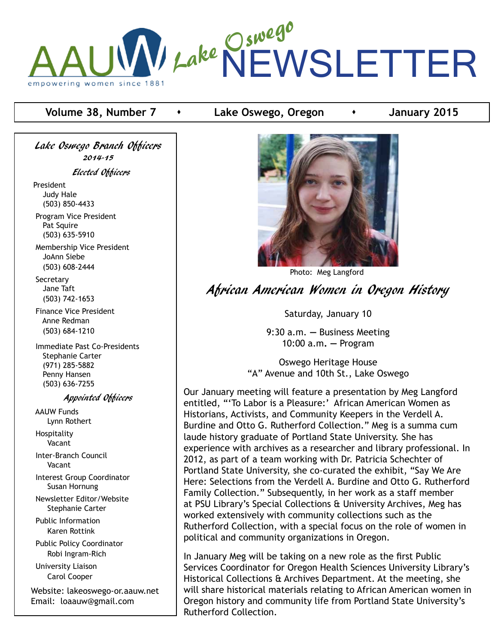

### **Volume 38, Number 7 Conservery Lake Oswego, Oregon Conservery 2015**

Lake Oswego Branch Officers 2014-15 Elected Officers

President Judy Hale (503) 850-4433

 Program Vice President Pat Squire (503) 635-5910

 Membership Vice President JoAnn Siebe (503) 608-2444

 Secretary Jane Taft (503) 742-1653

 Finance Vice President Anne Redman (503) 684-1210

 Immediate Past Co-Presidents Stephanie Carter (971) 285-5882 Penny Hansen (503) 636-7255

#### Appointed Officers

 AAUW Funds Lynn Rothert Hospitality

Vacant

 Inter-Branch Council Vacant

 Interest Group Coordinator Susan Hornung

 Newsletter Editor/Website Stephanie Carter

 Public Information Karen Rottink

 Public Policy Coordinator Robi Ingram-Rich

 University Liaison Carol Cooper

Website: lakeoswego-or.aauw.net Email: loaauw@gmail.com



Photo: Meg Langford

African American Women in Oregon History

Saturday, January 10

9:30 a.m. **—** Business Meeting 10:00 a.m**. —** Program

Oswego Heritage House "A" Avenue and 10th St., Lake Oswego

Our January meeting will feature a presentation by Meg Langford entitled, "'To Labor is a Pleasure:' African American Women as Historians, Activists, and Community Keepers in the Verdell A. Burdine and Otto G. Rutherford Collection." Meg is a summa cum laude history graduate of Portland State University. She has experience with archives as a researcher and library professional. In 2012, as part of a team working with Dr. Patricia Schechter of Portland State University, she co-curated the exhibit, "Say We Are Here: Selections from the Verdell A. Burdine and Otto G. Rutherford Family Collection." Subsequently, in her work as a staff member at PSU Library's Special Collections & University Archives, Meg has worked extensively with community collections such as the Rutherford Collection, with a special focus on the role of women in political and community organizations in Oregon.

In January Meg will be taking on a new role as the first Public Services Coordinator for Oregon Health Sciences University Library's Historical Collections & Archives Department. At the meeting, she will share historical materials relating to African American women in Oregon history and community life from Portland State University's Rutherford Collection.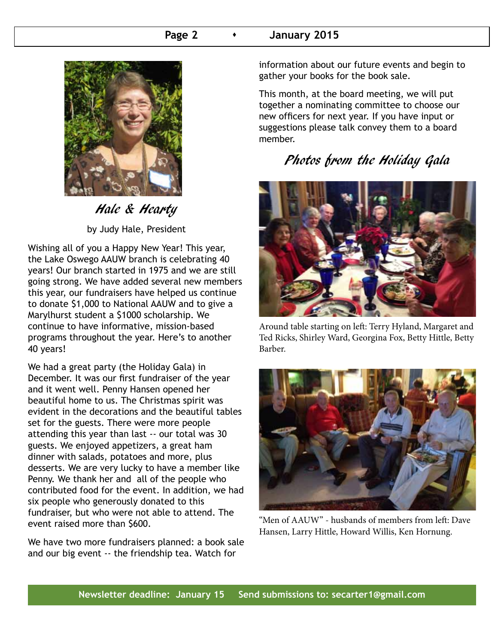### **Page 2 c c January 2015**



Hale & Hearty by Judy Hale, President

Wishing all of you a Happy New Year! This year, the Lake Oswego AAUW branch is celebrating 40 years! Our branch started in 1975 and we are still going strong. We have added several new members this year, our fundraisers have helped us continue to donate \$1,000 to National AAUW and to give a Marylhurst student a \$1000 scholarship. We continue to have informative, mission-based programs throughout the year. Here's to another 40 years!

We had a great party (the Holiday Gala) in December. It was our first fundraiser of the year and it went well. Penny Hansen opened her beautiful home to us. The Christmas spirit was evident in the decorations and the beautiful tables set for the guests. There were more people attending this year than last -- our total was 30 guests. We enjoyed appetizers, a great ham dinner with salads, potatoes and more, plus desserts. We are very lucky to have a member like Penny. We thank her and all of the people who contributed food for the event. In addition, we had six people who generously donated to this fundraiser, but who were not able to attend. The event raised more than \$600.

We have two more fundraisers planned: a book sale and our big event -- the friendship tea. Watch for

information about our future events and begin to gather your books for the book sale.

This month, at the board meeting, we will put together a nominating committee to choose our new officers for next year. If you have input or suggestions please talk convey them to a board member.

# Photos from the Holiday Gala



Around table starting on left: Terry Hyland, Margaret and Ted Ricks, Shirley Ward, Georgina Fox, Betty Hittle, Betty Barber.



"Men of AAUW" - husbands of members from left: Dave Hansen, Larry Hittle, Howard Willis, Ken Hornung.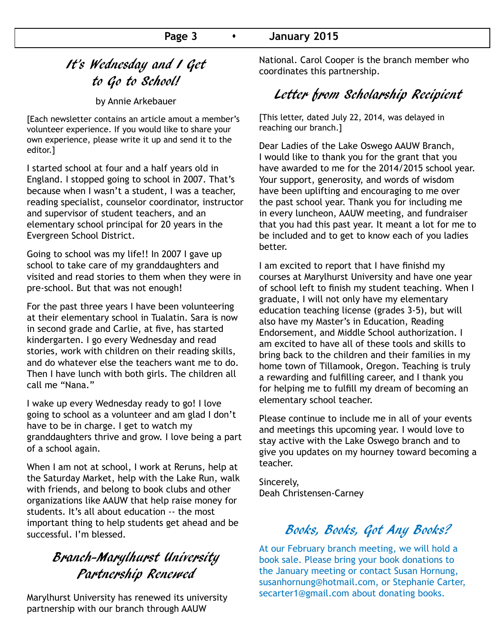# It's Wednesday and I Get to Go to School!

by Annie Arkebauer

[Each newsletter contains an article amout a member's volunteer experience. If you would like to share your own experience, please write it up and send it to the editor.]

I started school at four and a half years old in England. I stopped going to school in 2007. That's because when I wasn't a student, I was a teacher, reading specialist, counselor coordinator, instructor and supervisor of student teachers, and an elementary school principal for 20 years in the Evergreen School District.

Going to school was my life!! In 2007 I gave up school to take care of my granddaughters and visited and read stories to them when they were in pre-school. But that was not enough!

For the past three years I have been volunteering at their elementary school in Tualatin. Sara is now in second grade and Carlie, at five, has started kindergarten. I go every Wednesday and read stories, work with children on their reading skills, and do whatever else the teachers want me to do. Then I have lunch with both girls. The children all call me "Nana."

I wake up every Wednesday ready to go! I love going to school as a volunteer and am glad I don't have to be in charge. I get to watch my granddaughters thrive and grow. I love being a part of a school again.

When I am not at school, I work at Reruns, help at the Saturday Market, help with the Lake Run, walk with friends, and belong to book clubs and other organizations like AAUW that help raise money for students. It's all about education -- the most important thing to help students get ahead and be successful. I'm blessed.

# Branch-Marylhurst University Partnership Renewed

Marylhurst University has renewed its university partnership with our branch through AAUW

National. Carol Cooper is the branch member who coordinates this partnership.

# Letter from Scholarship Recipient

[This letter, dated July 22, 2014, was delayed in reaching our branch.]

Dear Ladies of the Lake Oswego AAUW Branch, I would like to thank you for the grant that you have awarded to me for the 2014/2015 school year. Your support, generosity, and words of wisdom have been uplifting and encouraging to me over the past school year. Thank you for including me in every luncheon, AAUW meeting, and fundraiser that you had this past year. It meant a lot for me to be included and to get to know each of you ladies better.

I am excited to report that I have finishd my courses at Marylhurst University and have one year of school left to finish my student teaching. When I graduate, I will not only have my elementary education teaching license (grades 3-5), but will also have my Master's in Education, Reading Endorsement, and Middle School authorization. I am excited to have all of these tools and skills to bring back to the children and their families in my home town of Tillamook, Oregon. Teaching is truly a rewarding and fulfilling career, and I thank you for helping me to fulfill my dream of becoming an elementary school teacher.

Please continue to include me in all of your events and meetings this upcoming year. I would love to stay active with the Lake Oswego branch and to give you updates on my hourney toward becoming a teacher.

Sincerely, Deah Christensen-Carney

# Books, Books, Got Any Books?

At our February branch meeting, we will hold a book sale. Please bring your book donations to the January meeting or contact Susan Hornung, susanhornung@hotmail.com, or Stephanie Carter, secarter1@gmail.com about donating books.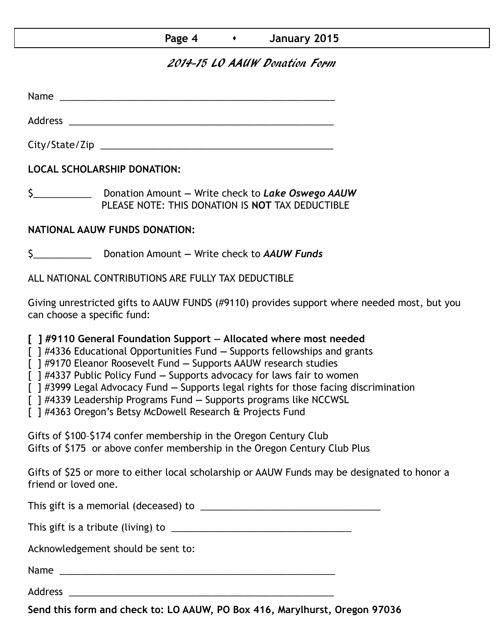### **Page 4 b 1***S* **January 2015**

## 2014-15 LO AAUW Donation Form

Name was also as a set of  $\sim$  10  $\mu$  m  $\sim$  10  $\mu$  m  $\sim$  10  $\mu$  m  $\sim$  10  $\mu$  m  $\sim$  10  $\mu$  m  $\sim$  10  $\mu$  m  $\sim$  10  $\mu$  m  $\sim$  10  $\mu$  m  $\sim$  10  $\mu$  m  $\sim$  10  $\mu$  m  $\sim$  10  $\mu$  m  $\sim$  10  $\mu$  m  $\sim$  10  $\mu$  m

Address \_\_\_\_\_\_\_\_\_\_\_\_\_\_\_\_\_\_\_\_\_\_\_\_\_\_\_\_\_\_\_\_\_\_\_\_\_\_\_\_\_\_\_\_\_\_\_\_\_\_

City/State/Zip 2000 and 2000 and 2000 and 2000 and 2000 and 2000 and 2000 and 2000 and 2000 and 200

**LOCAL SCHOLARSHIP DONATION:**

\$\_\_\_\_\_\_\_\_\_\_\_ Donation Amount **—** Write check to *Lake Oswego AAUW* PLEASE NOTE: THIS DONATION IS **NOT** TAX DEDUCTIBLE

### **NATIONAL AAUW FUNDS DONATION:**

\$\_\_\_\_\_\_\_\_\_\_\_ Donation Amount **—** Write check to *AAUW Funds*

ALL NATIONAL CONTRIBUTIONS ARE FULLY TAX DEDUCTIBLE

Giving unrestricted gifts to AAUW FUNDS (#9110) provides support where needed most, but you can choose a specific fund:

**[ ] #9110 General Foundation Support — Allocated where most needed** 

[ ] #4336 Educational Opportunities Fund **—** Supports fellowships and grants

[ ] #9170 Eleanor Roosevelt Fund **—** Supports AAUW research studies

[ ] #4337 Public Policy Fund **—** Supports advocacy for laws fair to women

[ ] #3999 Legal Advocacy Fund **—** Supports legal rights for those facing discrimination

[ ] #4339 Leadership Programs Fund **—** Supports programs like NCCWSL

[ ] #4363 Oregon's Betsy McDowell Research & Projects Fund

Gifts of \$100–\$174 confer membership in the Oregon Century Club Gifts of \$175 or above confer membership in the Oregon Century Club Plus

Gifts of \$25 or more to either local scholarship or AAUW Funds may be designated to honor a friend or loved one.

This gift is a memorial (deceased) to \_\_\_\_\_\_\_\_\_\_\_\_\_\_\_\_\_\_\_\_\_\_\_\_\_\_\_\_\_\_\_\_\_\_

This gift is a tribute (living) to \_\_\_\_\_\_\_\_\_\_\_\_\_\_\_\_\_\_\_\_\_\_\_\_\_\_\_\_\_\_\_\_\_\_

Acknowledgement should be sent to:

Name \_\_\_\_\_\_\_\_\_\_\_\_\_\_\_\_\_\_\_\_\_\_\_\_\_\_\_\_\_\_\_\_\_\_\_\_\_\_\_\_\_\_\_\_\_\_\_\_\_\_\_\_

Address \_\_\_\_\_\_\_\_\_\_\_\_\_\_\_\_\_\_\_\_\_\_\_\_\_\_\_\_\_\_\_\_\_\_\_\_\_\_\_\_\_\_\_\_\_\_\_\_\_\_

**Send this form and check to: LO AAUW, PO Box 416, Marylhurst, Oregon 97036**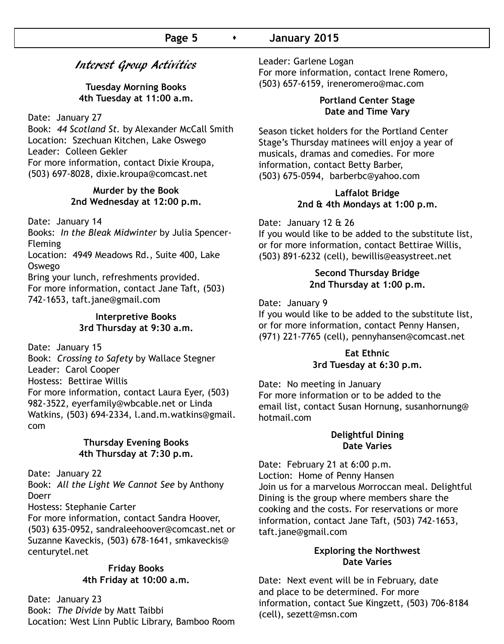## Interest Group Activities

#### **Tuesday Morning Books 4th Tuesday at 11:00 a.m.**

Date: January 27

Book: *44 Scotland St.* by Alexander McCall Smith Location: Szechuan Kitchen, Lake Oswego Leader: Colleen Gekler For more information, contact Dixie Kroupa, (503) 697-8028, dixie.kroupa@comcast.net

#### **Murder by the Book 2nd Wednesday at 12:00 p.m.**

Date: January 14

Books: *In the Bleak Midwinter* by Julia Spencer-Fleming

Location: 4949 Meadows Rd., Suite 400, Lake Oswego

Bring your lunch, refreshments provided. For more information, contact Jane Taft, (503) 742-1653, taft.jane@gmail.com

#### **Interpretive Books 3rd Thursday at 9:30 a.m.**

Date: January 15

Book: *Crossing to Safety* by Wallace Stegner Leader: Carol Cooper Hostess: Bettirae Willis For more information, contact Laura Eyer, (503) 982-3522, eyerfamily@wbcable.net or Linda Watkins, (503) 694-2334, l.and.m.watkins@gmail. com

#### **Thursday Evening Books 4th Thursday at 7:30 p.m.**

Date: January 22

Book: *All the Light We Cannot See* by Anthony Doerr

Hostess: Stephanie Carter

For more information, contact Sandra Hoover, (503) 635-0952, sandraleehoover@comcast.net or Suzanne Kaveckis, (503) 678-1641, smkaveckis@ centurytel.net

#### **Friday Books 4th Friday at 10:00 a.m.**

Date: January 23 Book: *The Divide* by Matt Taibbi Location: West Linn Public Library, Bamboo Room Leader: Garlene Logan

For more information, contact Irene Romero, (503) 657-6159, ireneromero@mac.com

### **Portland Center Stage Date and Time Vary**

Season ticket holders for the Portland Center Stage's Thursday matinees will enjoy a year of musicals, dramas and comedies. For more information, contact Betty Barber, (503) 675-0594, barberbc@yahoo.com

#### **Laffalot Bridge 2nd & 4th Mondays at 1:00 p.m.**

Date: January 12 & 26

If you would like to be added to the substitute list, or for more information, contact Bettirae Willis, (503) 891-6232 (cell), bewillis@easystreet.net

#### **Second Thursday Bridge 2nd Thursday at 1:00 p.m.**

Date: January 9

If you would like to be added to the substitute list, or for more information, contact Penny Hansen, (971) 221-7765 (cell), pennyhansen@comcast.net

#### **Eat Ethnic 3rd Tuesday at 6:30 p.m.**

Date: No meeting in January For more information or to be added to the email list, contact Susan Hornung, susanhornung@ hotmail.com

#### **Delightful Dining Date Varies**

Date: February 21 at 6:00 p.m. Loction: Home of Penny Hansen Join us for a marvelous Morroccan meal. Delightful Dining is the group where members share the cooking and the costs. For reservations or more information, contact Jane Taft, (503) 742-1653, taft.jane@gmail.com

#### **Exploring the Northwest Date Varies**

Date: Next event will be in February, date and place to be determined. For more information, contact Sue Kingzett, (503) 706-8184 (cell), sezett@msn.com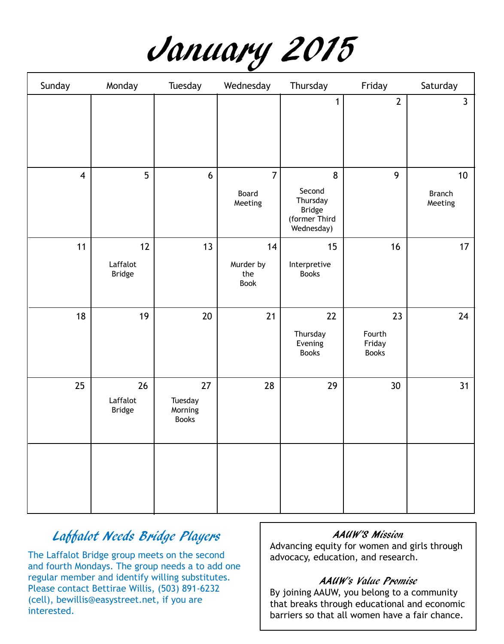| January 2015 |  |
|--------------|--|
|--------------|--|

| Sunday         | Monday                          | Tuesday                                  | Wednesday                             | Thursday                                                         | Friday                                 | Saturday                           |
|----------------|---------------------------------|------------------------------------------|---------------------------------------|------------------------------------------------------------------|----------------------------------------|------------------------------------|
|                |                                 |                                          |                                       | 1                                                                | $\mathbf{2}$                           | $\mathbf{3}$                       |
| $\overline{4}$ | 5                               | 6                                        | $\overline{7}$<br>Board<br>Meeting    | 8<br>Second<br>Thursday<br>Bridge<br>(former Third<br>Wednesday) | 9                                      | $10\,$<br><b>Branch</b><br>Meeting |
| 11             | 12<br>Laffalot<br><b>Bridge</b> | 13                                       | 14<br>Murder by<br>the<br><b>Book</b> | 15<br>Interpretive<br><b>Books</b>                               | 16                                     | 17                                 |
| 18             | 19                              | 20                                       | 21                                    | 22<br>Thursday<br>Evening<br><b>Books</b>                        | 23<br>Fourth<br>Friday<br><b>Books</b> | 24                                 |
| 25             | 26<br>Laffalot<br><b>Bridge</b> | 27<br>Tuesday<br>Morning<br><b>Books</b> | 28                                    | 29                                                               | 30                                     | 31                                 |
|                |                                 |                                          |                                       |                                                                  |                                        |                                    |

# Laffalot Needs Bridge Players

The Laffalot Bridge group meets on the second and fourth Mondays. The group needs a to add one regular member and identify willing substitutes. Please contact Bettirae Willis, (503) 891-6232 (cell), bewillis@easystreet.net, if you are interested.

### AAUW'S Mission

Advancing equity for women and girls through advocacy, education, and research.

## AAUW's Value Promise

By joining AAUW, you belong to a community that breaks through educational and economic barriers so that all women have a fair chance.